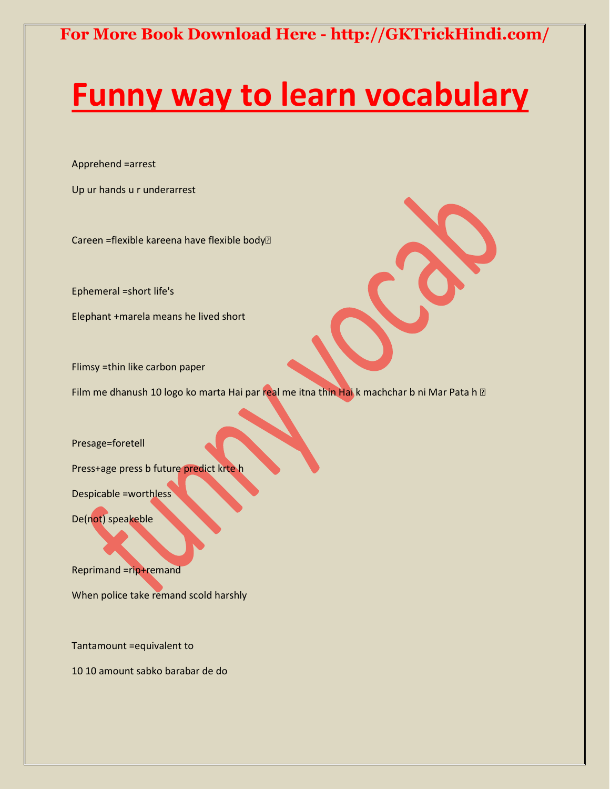# **[Funny way to learn vocabulary](http://gktrickhindi.com/top-motivational-inspirational-and-self-help-books-list-in-hindi/)**

Apprehend =arrest

Up ur hands u r underarrest

Careen =flexible kareena have flexible body

Ephemeral =short life's

Elephant +marela means he lived short

Flimsy =thin like carbon paper

Film me dhanush 10 logo ko marta Hai par real me itna thin Hai k machchar b ni Mar Pata h a

Presage=foretell

Press+age press b future predict krte h

Despicable =worthless

De(not) speakeble

Reprimand =rip+remand

When police take remand scold harshly

Tantamount =equivalent to

10 10 amount sabko barabar de do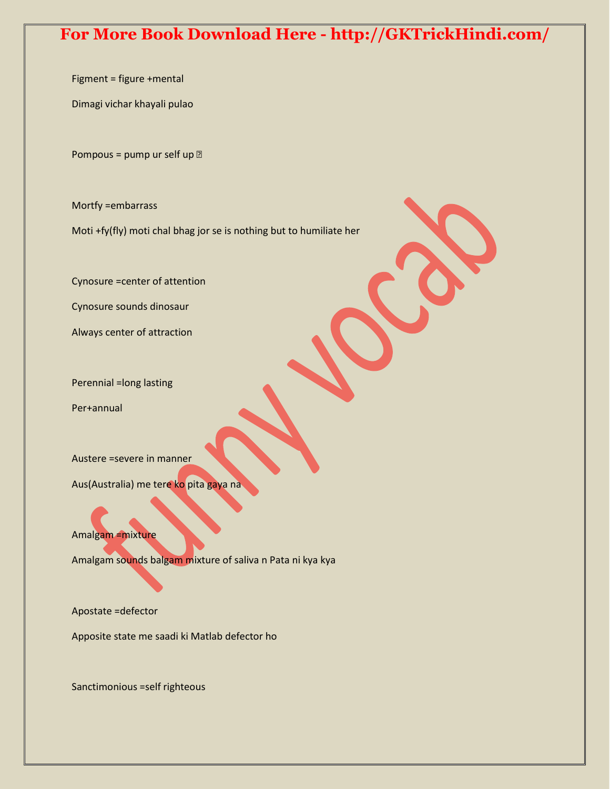Figment = figure +mental

Dimagi vichar khayali pulao

Pompous = pump ur self up  $\mathbb{Z}$ 

Mortfy =embarrass

Moti +fy(fly) moti chal bhag jor se is nothing but to humiliate her

Cynosure =center of attention

Cynosure sounds dinosaur

Always center of attraction

Perennial =long lasting

Per+annual

Austere =severe in manner

Aus(Australia) me tere ko pita gaya na

Amalgam =mixture

Amalgam sounds balgam mixture of saliva n Pata ni kya kya

Apostate =defector

Apposite state me saadi ki Matlab defector ho

Sanctimonious =self righteous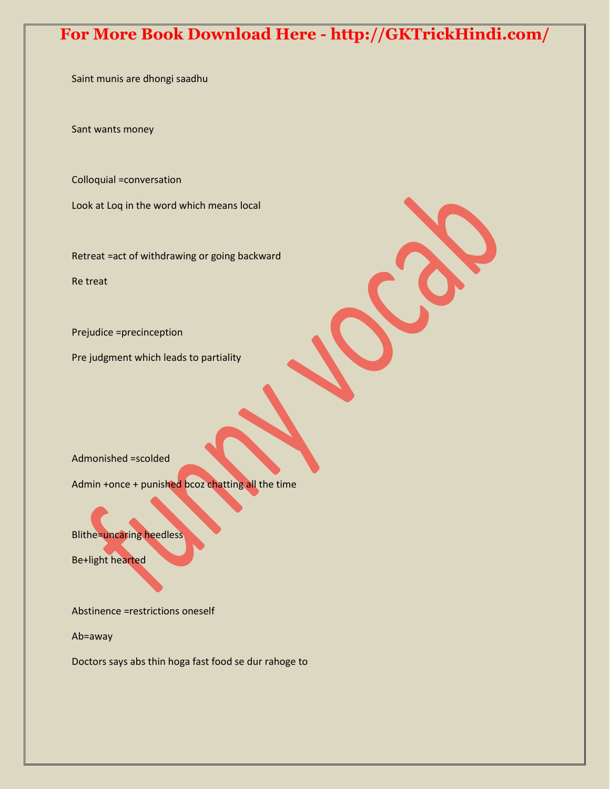Saint munis are dhongi saadhu

Sant wants money

Colloquial =conversation

Look at Loq in the word which means local

Retreat =act of withdrawing or going backward Re treat

Prejudice =precinception

Pre judgment which leads to partiality

Admonished =scolded

Admin +once + punished bcoz chatting all the time

Blithe=uncaring heedless

Be+light hearted

Abstinence =restrictions oneself

Ab=away

Doctors says abs thin hoga fast food se dur rahoge to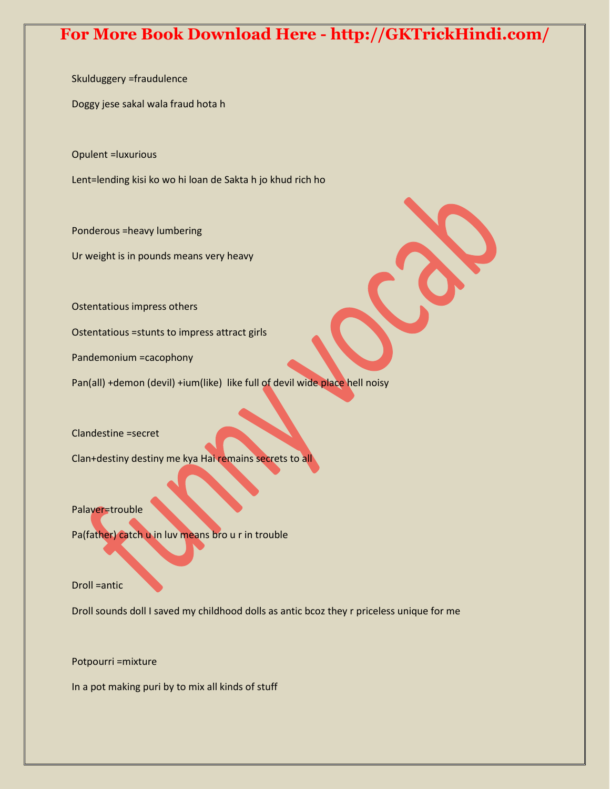Skulduggery =fraudulence

Doggy jese sakal wala fraud hota h

Opulent =luxurious

Lent=lending kisi ko wo hi loan de Sakta h jo khud rich ho

Ponderous =heavy lumbering

Ur weight is in pounds means very heavy

Ostentatious impress others

Ostentatious =stunts to impress attract girls

Pandemonium =cacophony

Pan(all) +demon (devil) +ium(like) like full of devil wide place hell noisy

Clandestine =secret

Clan+destiny destiny me kya Hai remains secrets to all

Palaver=trouble

Pa(father) catch u in luv means bro u r in trouble

Droll =antic

Droll sounds doll I saved my childhood dolls as antic bcoz they r priceless unique for me

Potpourri =mixture

In a pot making puri by to mix all kinds of stuff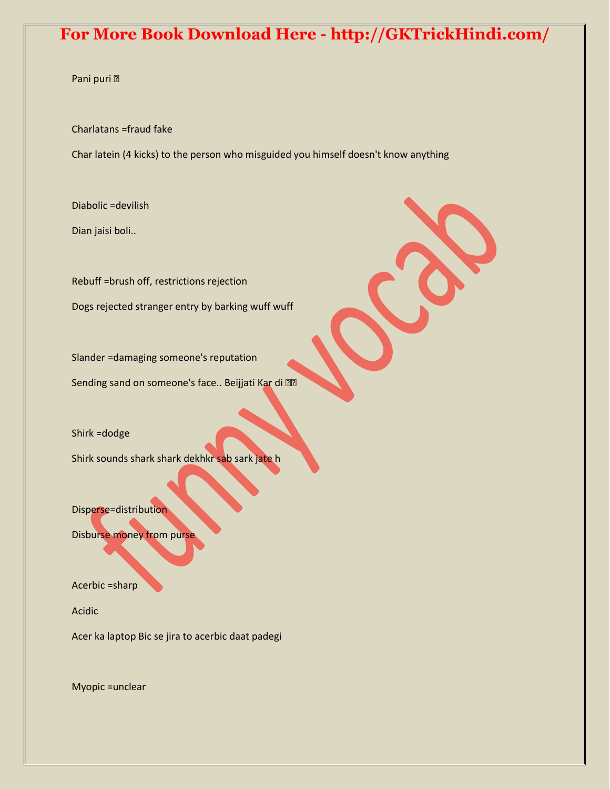#### Pani puri

Charlatans =fraud fake

Char latein (4 kicks) to the person who misguided you himself doesn't know anything

Diabolic =devilish

Dian jaisi boli..

Rebuff =brush off, restrictions rejection Dogs rejected stranger entry by barking wuff wuff

Slander =damaging someone's reputation Sending sand on someone's face.. Beijjati Kar di

Shirk =dodge

Shirk sounds shark shark dekhkr sab sark jate h

Disperse=distribution

Disburse money from purse

Acerbic =sharp

Acidic

Acer ka laptop Bic se jira to acerbic daat padegi

Myopic =unclear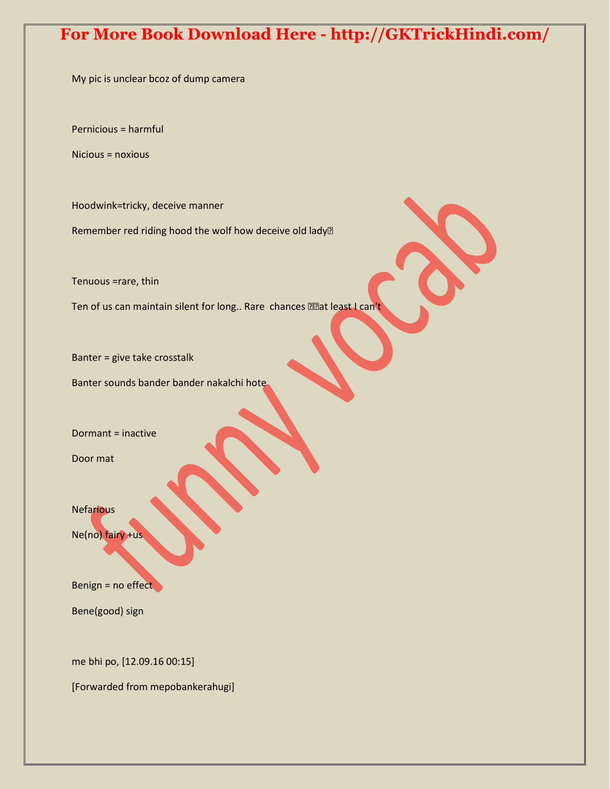My pic is unclear bcoz of dump camera

Pernicious = harmful

Nicious = noxious

Hoodwink=tricky, deceive manner

Remember red riding hood the wolf how deceive old lady<sup>[2]</sup>

Tenuous =rare, thin

Ten of us can maintain silent for long.. Rare chances and least I can't

Banter = give take crosstalk

Banter sounds bander bander nakalchi hote

Dormant = inactive

Door mat

**Nefarious** 

Ne(no) fairy +us

Benign = no effect

Bene(good) sign

me bhi po, [12.09.16 00:15]

[Forwarded from mepobankerahugi]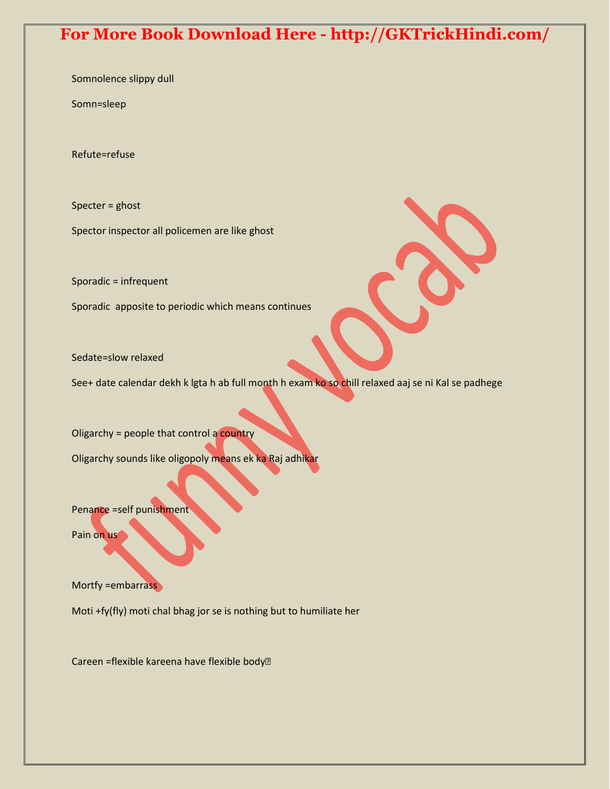Somnolence slippy dull

Somn=sleep

Refute=refuse

Specter = ghost

Spector inspector all policemen are like ghost

Sporadic = infrequent

Sporadic apposite to periodic which means continues

Sedate=slow relaxed

See+ date calendar dekh k lgta h ab full month h exam ko so chill relaxed aaj se ni Kal se padhege

Oligarchy = people that control a country

Oligarchy sounds like oligopoly means ek ka Raj adhikar

Penance =self punishment

Pain on us

Mortfy = embarrass

Moti +fy(fly) moti chal bhag jor se is nothing but to humiliate her

Careen =flexible kareena have flexible body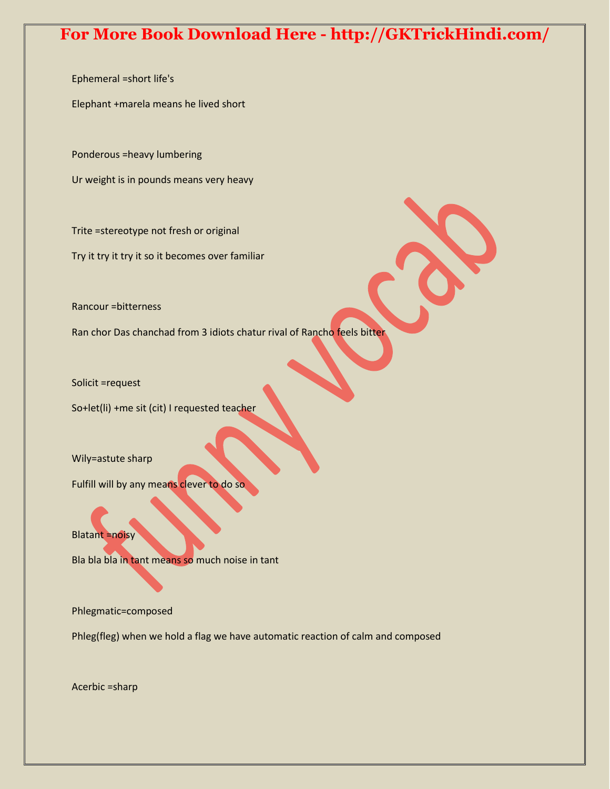Ephemeral =short life's

Elephant +marela means he lived short

Ponderous =heavy lumbering

Ur weight is in pounds means very heavy

Trite =stereotype not fresh or original

Try it try it try it so it becomes over familiar

Rancour =bitterness

Ran chor Das chanchad from 3 idiots chatur rival of Rancho feels bitter

Solicit =request

So+let(li) +me sit (cit) I requested teacher

Wily=astute sharp

Fulfill will by any means clever to do so

Blatant =noisy

Bla bla bla in tant means so much noise in tant

Phlegmatic=composed

Phleg(fleg) when we hold a flag we have automatic reaction of calm and composed

Acerbic =sharp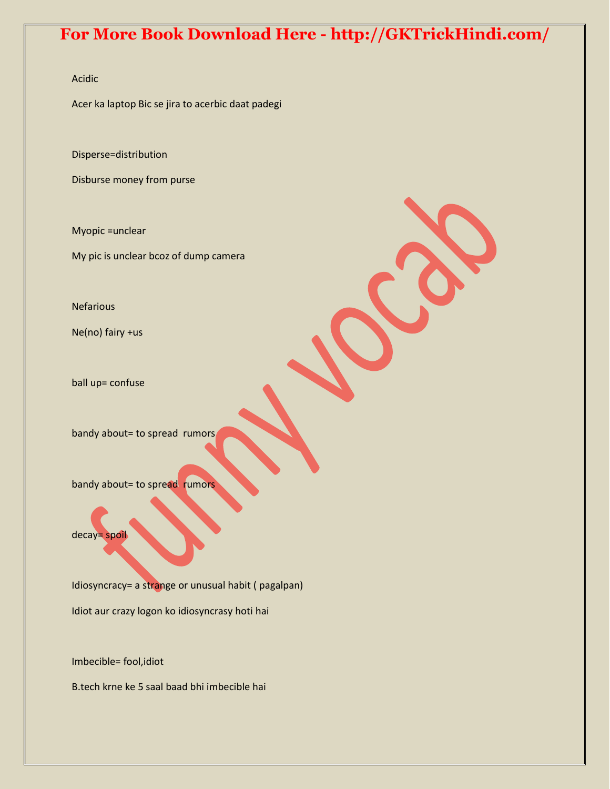#### Acidic

Acer ka laptop Bic se jira to acerbic daat padegi

Disperse=distribution

Disburse money from purse

Myopic =unclear

My pic is unclear bcoz of dump camera

Nefarious

Ne(no) fairy +us

ball up= confuse

bandy about= to spread rumors

bandy about= to spread rumors

decay= spoil

Idiosyncracy= a strange or unusual habit ( pagalpan) Idiot aur crazy logon ko idiosyncrasy hoti hai

Imbecible= fool,idiot

B.tech krne ke 5 saal baad bhi imbecible hai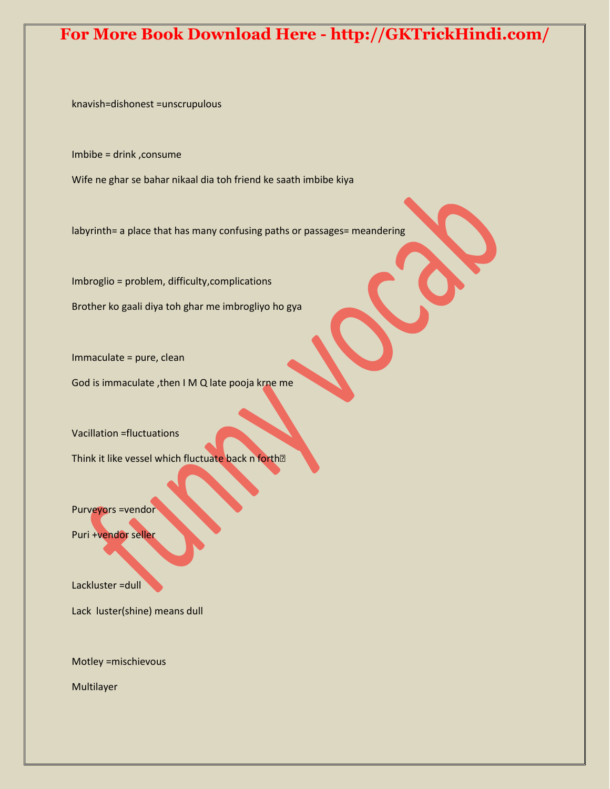knavish=dishonest =unscrupulous

Imbibe = drink ,consume

Wife ne ghar se bahar nikaal dia toh friend ke saath imbibe kiya

labyrinth= a place that has many confusing paths or passages= meandering

Imbroglio = problem, difficulty,complications Brother ko gaali diya toh ghar me imbrogliyo ho gya

Immaculate = pure, clean

God is immaculate ,then I M Q late pooja krne me

Vacillation =fluctuations

Think it like vessel which fluctuate back n forth?

Purveyors =vendor

Puri +vendor seller

Lackluster = dull

Lack luster(shine) means dull

Motley =mischievous

Multilayer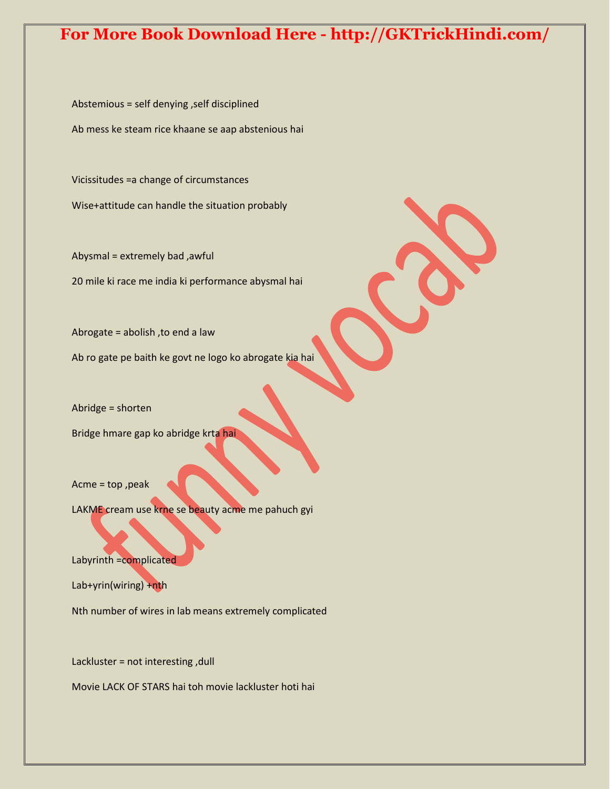Abstemious = self denying ,self disciplined Ab mess ke steam rice khaane se aap abstenious hai

Vicissitudes =a change of circumstances Wise+attitude can handle the situation probably

Abysmal = extremely bad ,awful 20 mile ki race me india ki performance abysmal hai

Abrogate = abolish ,to end a law

Ab ro gate pe baith ke govt ne logo ko abrogate kia hai

Abridge = shorten

Bridge hmare gap ko abridge krta hai

Acme = top ,peak

LAKME cream use krne se beauty acme me pahuch gyi

Labyrinth =complicated

Lab+yrin(wiring) +nth

Nth number of wires in lab means extremely complicated

Lackluster = not interesting ,dull

Movie LACK OF STARS hai toh movie lackluster hoti hai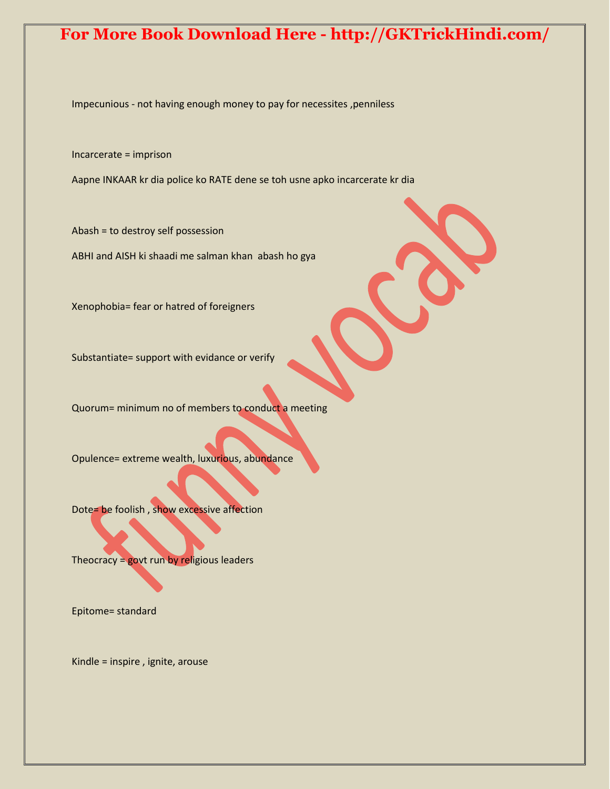Impecunious - not having enough money to pay for necessites ,penniless

Incarcerate = imprison

Aapne INKAAR kr dia police ko RATE dene se toh usne apko incarcerate kr dia

Abash = to destroy self possession ABHI and AISH ki shaadi me salman khan abash ho gya

Xenophobia= fear or hatred of foreigners

Substantiate= support with evidance or verify

Quorum= minimum no of members to conduct a meeting

Opulence= extreme wealth, luxurious, abundance

Dote= be foolish , show excessive affection

Theocracy  $=$  govt run by religious leaders

Epitome= standard

Kindle = inspire , ignite, arouse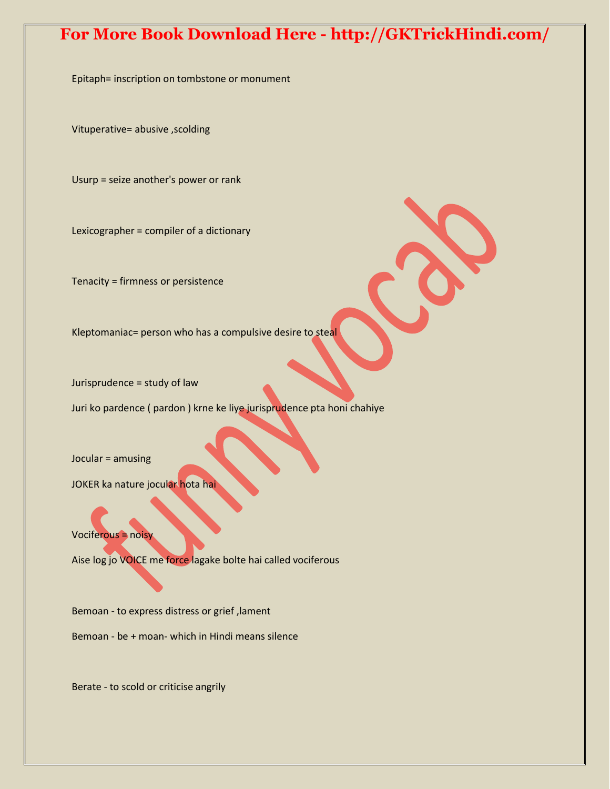Epitaph= inscription on tombstone or monument

Vituperative= abusive ,scolding

Usurp = seize another's power or rank

Lexicographer = compiler of a dictionary

Tenacity = firmness or persistence

Kleptomaniac= person who has a compulsive desire to steal

Jurisprudence = study of law

Juri ko pardence ( pardon ) krne ke liye jurisprudence pta honi chahiye

Jocular = amusing

JOKER ka nature jocular hota hai

Vociferous = noisy

Aise log jo VOICE me force lagake bolte hai called vociferous

Bemoan - to express distress or grief ,lament

Bemoan - be + moan- which in Hindi means silence

Berate - to scold or criticise angrily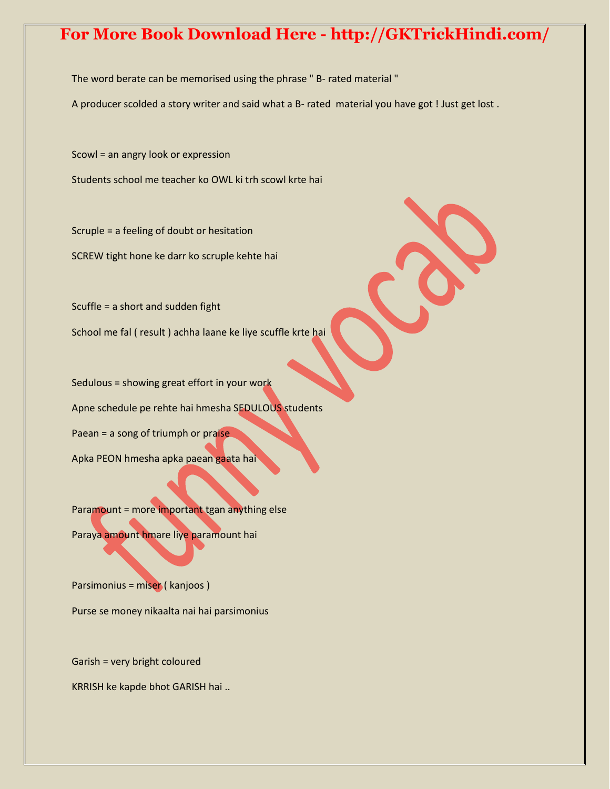The word berate can be memorised using the phrase " B- rated material "

A producer scolded a story writer and said what a B- rated material you have got ! Just get lost .

Scowl = an angry look or expression

Students school me teacher ko OWL ki trh scowl krte hai

Scruple = a feeling of doubt or hesitation SCREW tight hone ke darr ko scruple kehte hai

Scuffle = a short and sudden fight School me fal ( result ) achha laane ke liye scuffle krte hai

Sedulous = showing great effort in your work Apne schedule pe rehte hai hmesha SEDULOUS students Paean = a song of triumph or praise Apka PEON hmesha apka paean gaata hai

Paramount = more important tgan anything else Paraya amount hmare liye paramount hai

Parsimonius = miser ( kanjoos ) Purse se money nikaalta nai hai parsimonius

Garish = very bright coloured

KRRISH ke kapde bhot GARISH hai ..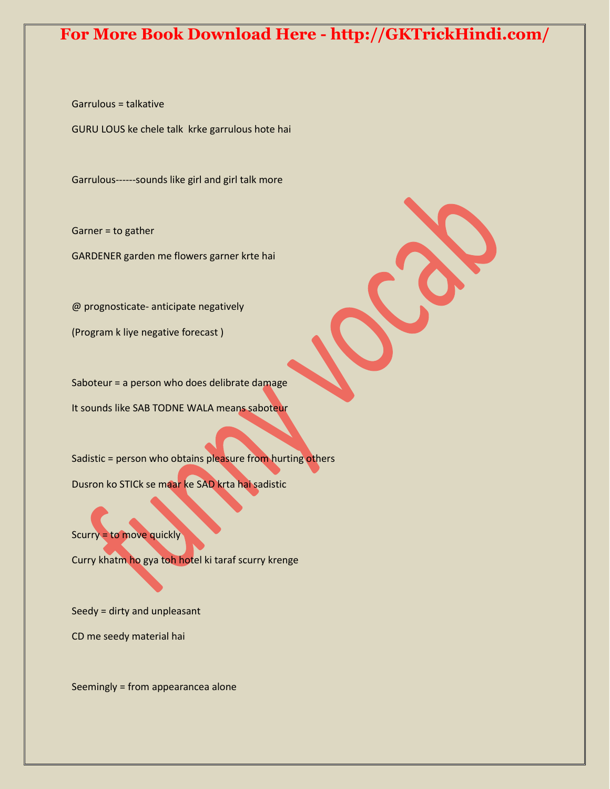Garrulous = talkative

GURU LOUS ke chele talk krke garrulous hote hai

Garrulous------sounds like girl and girl talk more

Garner = to gather

GARDENER garden me flowers garner krte hai

@ prognosticate- anticipate negatively

(Program k liye negative forecast )

Saboteur = a person who does delibrate damage It sounds like SAB TODNE WALA means saboteur

Sadistic = person who obtains pleasure from hurting others Dusron ko STICk se maar ke SAD krta hai sadistic

Scurry = to move quickly

Curry khatm ho gya toh hotel ki taraf scurry krenge

Seedy = dirty and unpleasant

CD me seedy material hai

Seemingly = from appearancea alone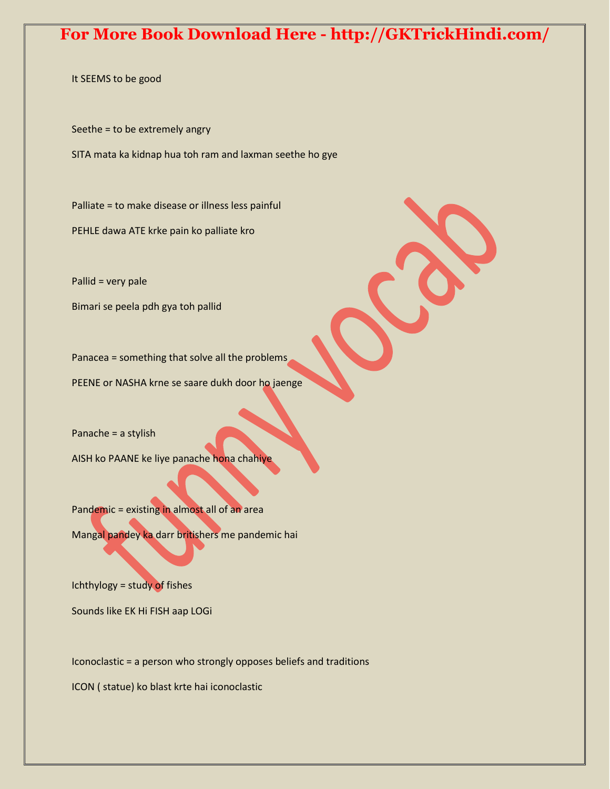It SEEMS to be good

Seethe = to be extremely angry

SITA mata ka kidnap hua toh ram and laxman seethe ho gye

Palliate = to make disease or illness less painful PEHLE dawa ATE krke pain ko palliate kro

Pallid = very pale

Bimari se peela pdh gya toh pallid

Panacea = something that solve all the problems

PEENE or NASHA krne se saare dukh door ho jaenge

Panache = a stylish

AISH ko PAANE ke liye panache hona chahiye

Pandemic = existing in almost all of an area Mangal pandey ka darr britishers me pandemic hai

Ichthylogy = study of fishes

Sounds like EK Hi FISH aap LOGi

Iconoclastic = a person who strongly opposes beliefs and traditions

ICON ( statue) ko blast krte hai iconoclastic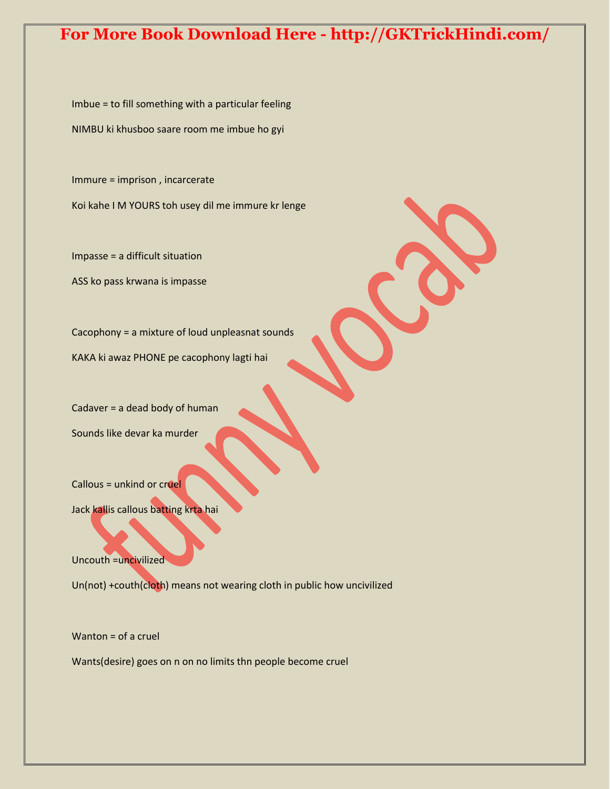Imbue = to fill something with a particular feeling NIMBU ki khusboo saare room me imbue ho gyi

Immure = imprison , incarcerate

Koi kahe I M YOURS toh usey dil me immure kr lenge

Impasse = a difficult situation

ASS ko pass krwana is impasse

Cacophony = a mixture of loud unpleasnat sounds

KAKA ki awaz PHONE pe cacophony lagti hai

Cadaver = a dead body of human Sounds like devar ka murder

Callous = unkind or cruel

Jack kallis callous batting krta hai

Uncouth =uncivilized

Un(not) +couth(cloth) means not wearing cloth in public how uncivilized

Wanton = of a cruel

Wants(desire) goes on n on no limits thn people become cruel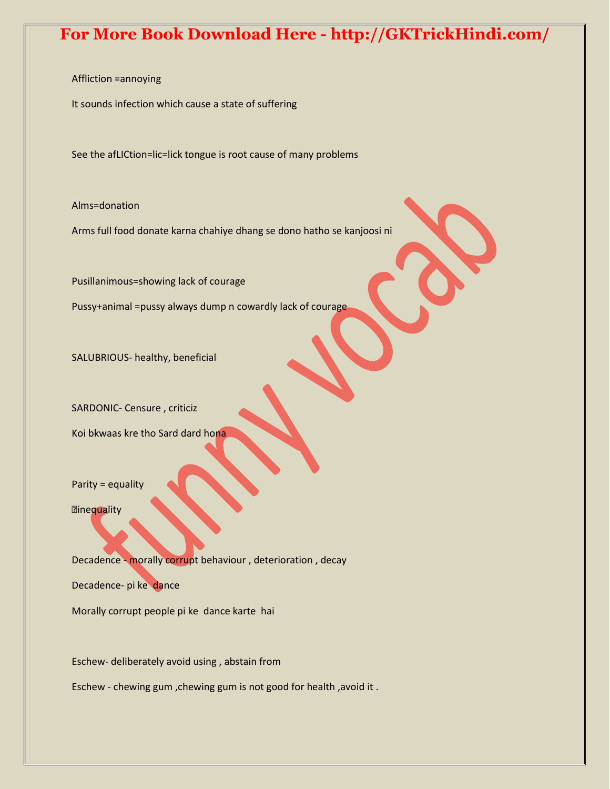Affliction =annoying

It sounds infection which cause a state of suffering

See the afLICtion=lic=lick tongue is root cause of many problems

Alms=donation

Arms full food donate karna chahiye dhang se dono hatho se kanjoosi ni

Pusillanimous=showing lack of courage

Pussy+animal =pussy always dump n cowardly lack of courage

SALUBRIOUS- healthy, beneficial

SARDONIC- Censure , criticiz

Koi bkwaas kre tho Sard dard hona

Parity = equality

**Elinequality** 

Decadence - morally corrupt behaviour , deterioration , decay

Decadence- pi ke dance

Morally corrupt people pi ke dance karte hai

Eschew- deliberately avoid using , abstain from

Eschew - chewing gum ,chewing gum is not good for health ,avoid it .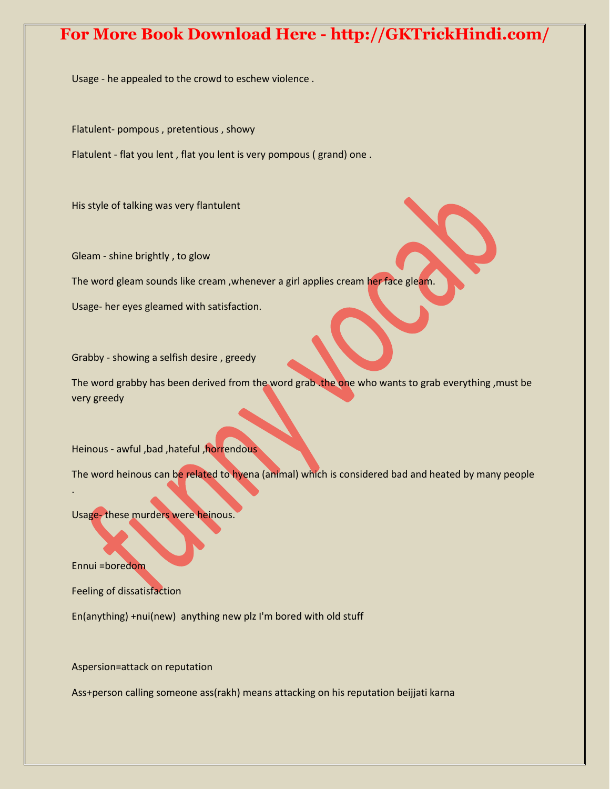Usage - he appealed to the crowd to eschew violence .

Flatulent- pompous , pretentious , showy

Flatulent - flat you lent , flat you lent is very pompous ( grand) one .

His style of talking was very flantulent

Gleam - shine brightly , to glow

The word gleam sounds like cream, whenever a girl applies cream her face gleam.

Usage- her eyes gleamed with satisfaction.

Grabby - showing a selfish desire , greedy

The word grabby has been derived from the word grab .the one who wants to grab everything ,must be very greedy

Heinous - awful ,bad ,hateful ,horrendous

The word heinous can be related to hyena (animal) which is considered bad and heated by many people

Usage- these murders were heinous.

Ennui =boredom

.

Feeling of dissatisfaction

En(anything) +nui(new) anything new plz I'm bored with old stuff

Aspersion=attack on reputation

Ass+person calling someone ass(rakh) means attacking on his reputation beijjati karna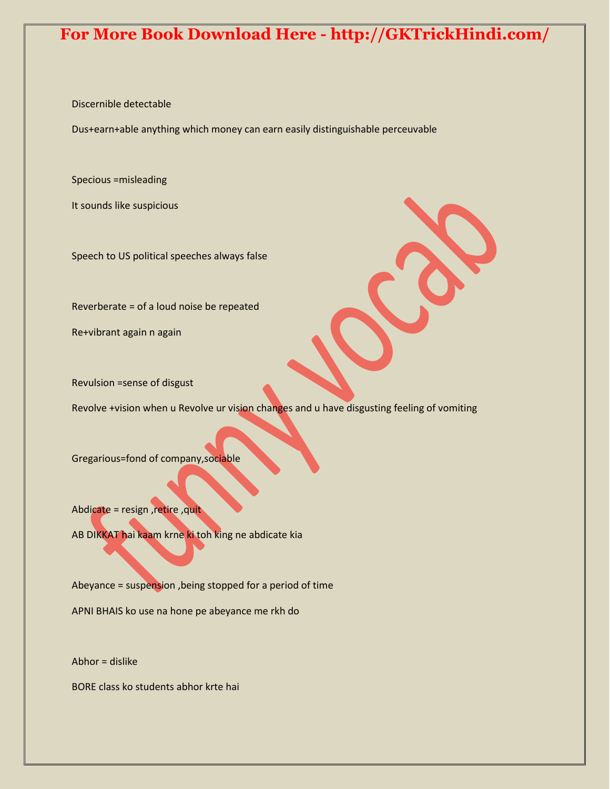Discernible detectable

Dus+earn+able anything which money can earn easily distinguishable perceuvable

Specious =misleading

It sounds like suspicious

Speech to US political speeches always false

Reverberate = of a loud noise be repeated

Re+vibrant again n again

Revulsion =sense of disgust

Revolve +vision when u Revolve ur vision changes and u have disgusting feeling of vomiting

Gregarious=fond of company,sociable

Abdicate = resign ,retire ,quit

AB DIKKAT hai kaam krne ki toh king ne abdicate kia

Abeyance = suspension ,being stopped for a period of time

APNI BHAIS ko use na hone pe abeyance me rkh do

Abhor = dislike

BORE class ko students abhor krte hai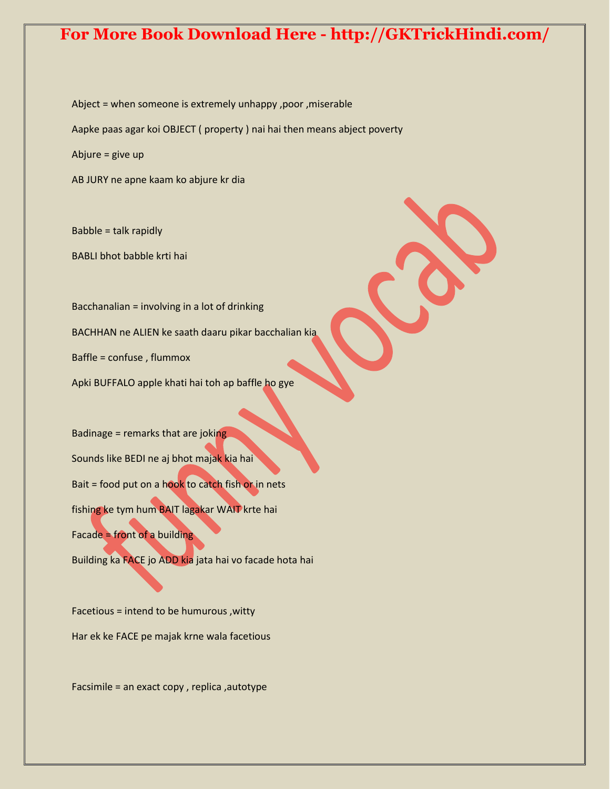Abject = when someone is extremely unhappy ,poor ,miserable Aapke paas agar koi OBJECT ( property ) nai hai then means abject poverty Abjure = give up

AB JURY ne apne kaam ko abjure kr dia

Babble = talk rapidly BABLI bhot babble krti hai

Bacchanalian = involving in a lot of drinking BACHHAN ne ALIEN ke saath daaru pikar bacchalian kia

Baffle = confuse , flummox

Apki BUFFALO apple khati hai toh ap baffle ho gye

Badinage = remarks that are joking Sounds like BEDI ne aj bhot majak kia hai Bait = food put on a hook to catch fish or in nets fishing ke tym hum BAIT lagakar WAIT krte hai Facade = front of a building

Building ka FACE jo ADD kia jata hai vo facade hota hai

Facetious = intend to be humurous ,witty Har ek ke FACE pe majak krne wala facetious

Facsimile = an exact copy , replica ,autotype